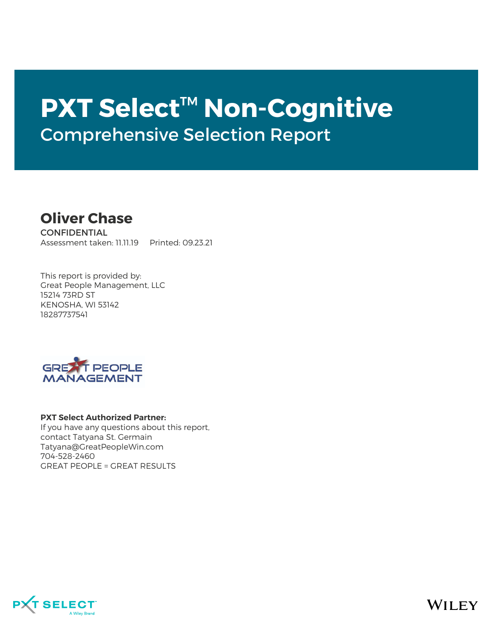# **PXT Select**™ **Non-Cognitive** Comprehensive Selection Report

## **Oliver Chase**

**CONFIDENTIAL** Assessment taken: 11.11.19 Printed: 09.23.21

This report is provided by: Great People Management, LLC 15214 73RD ST KENOSHA, WI 53142 18287737541



### **PXT Select Authorized Partner:**

If you have any questions about this report, contact Tatyana St. Germain Tatyana@GreatPeopleWin.com 704-528-2460 GREAT PEOPLE = GREAT RESULTS



WILEY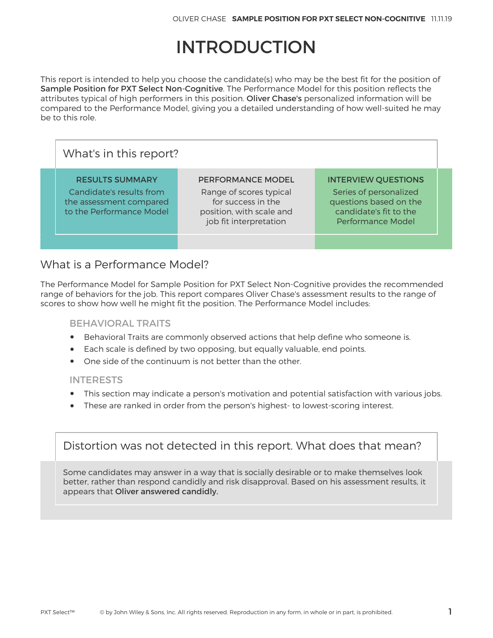# INTRODUCTION

This report is intended to help you choose the candidate(s) who may be the best fit for the position of Sample Position for PXT Select Non-Cognitive. The Performance Model for this position reflects the attributes typical of high performers in this position. Oliver Chase's personalized information will be compared to the Performance Model, giving you a detailed understanding of how well-suited he may be to this role.

| What's in this report?                                                                                    |                                                                                                                          |                                                                                                                               |
|-----------------------------------------------------------------------------------------------------------|--------------------------------------------------------------------------------------------------------------------------|-------------------------------------------------------------------------------------------------------------------------------|
| <b>RESULTS SUMMARY</b><br>Candidate's results from<br>the assessment compared<br>to the Performance Model | PERFORMANCE MODEL<br>Range of scores typical<br>for success in the<br>position, with scale and<br>job fit interpretation | <b>INTERVIEW QUESTIONS</b><br>Series of personalized<br>questions based on the<br>candidate's fit to the<br>Performance Model |
|                                                                                                           |                                                                                                                          |                                                                                                                               |

## What is a Performance Model?

The Performance Model for Sample Position for PXT Select Non-Cognitive provides the recommended range of behaviors for the job. This report compares Oliver Chase's assessment results to the range of scores to show how well he might fit the position. The Performance Model includes:

## BEHAVIORAL TRAITS

- Behavioral Traits are commonly observed actions that help define who someone is.
- Each scale is defined by two opposing, but equally valuable, end points.
- One side of the continuum is not better than the other.

## INTERESTS

- This section may indicate a person's motivation and potential satisfaction with various jobs.
- These are ranked in order from the person's highest- to lowest-scoring interest.

## Distortion was not detected in this report. What does that mean?

Some candidates may answer in a way that is socially desirable or to make themselves look better, rather than respond candidly and risk disapproval. Based on his assessment results, it appears that Oliver answered candidly.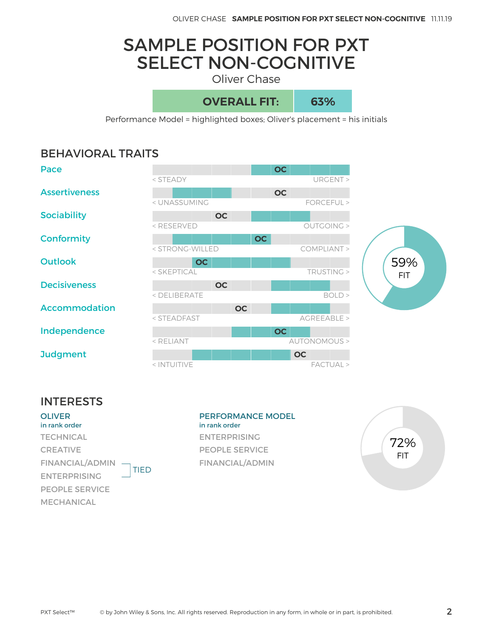# SAMPLE POSITION FOR PXT SELECT NON-COGNITIVE

Oliver Chase

**OVERALL FIT: 63%**

Performance Model = highlighted boxes; Oliver's placement = his initials

## BEHAVIORAL TRAITS





## INTERESTS

#### **OLIVER** in rank order

**TECHNICAL** CREATIVE FINANCIAL/ADMIN TIED ENTERPRISING PEOPLE SERVICE MECHANICAL

### PERFORMANCE MODEL in rank order ENTERPRISING PEOPLE SERVICE

FINANCIAL/ADMIN

72% FIT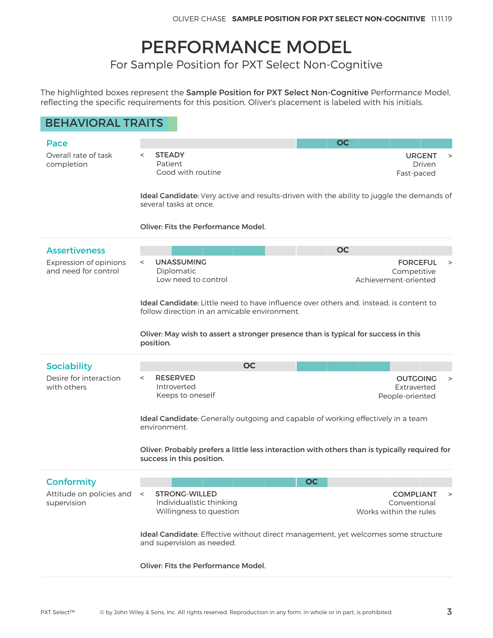# PERFORMANCE MODEL

## For Sample Position for PXT Select Non-Cognitive

The highlighted boxes represent the Sample Position for PXT Select Non-Cognitive Performance Model, reflecting the specific requirements for this position. Oliver's placement is labeled with his initials.

BEHAVIORAL TRAITS

| PEHA IVIVAE TIVATIS                                                    |                                                                                                                                                                                                                                                                                                                |                                                                                                                                                                  |
|------------------------------------------------------------------------|----------------------------------------------------------------------------------------------------------------------------------------------------------------------------------------------------------------------------------------------------------------------------------------------------------------|------------------------------------------------------------------------------------------------------------------------------------------------------------------|
| Pace<br>Overall rate of task<br>completion                             | <b>STEADY</b><br>$\,<\,$<br>Patient<br>Good with routine<br>several tasks at once.<br>Oliver: Fits the Performance Model.                                                                                                                                                                                      | <b>OC</b><br><b>URGENT</b><br>$\geq$<br><b>Driven</b><br>Fast-paced<br>Ideal Candidate: Very active and results-driven with the ability to juggle the demands of |
| <b>Assertiveness</b><br>Expression of opinions<br>and need for control | <b>UNASSUMING</b><br>$\,<\,$<br>Diplomatic<br>Low need to control<br>Ideal Candidate: Little need to have influence over others and, instead, is content to<br>follow direction in an amicable environment.<br>Oliver: May wish to assert a stronger presence than is typical for success in this<br>position. | <b>OC</b><br><b>FORCEFUL</b><br>$\, > \,$<br>Competitive<br>Achievement-oriented                                                                                 |
| <b>Sociability</b><br>Desire for interaction<br>with others            | <b>OC</b><br><b>RESERVED</b><br>$\,<\,$<br>Introverted<br>Keeps to oneself<br>Ideal Candidate: Generally outgoing and capable of working effectively in a team<br>environment.<br>success in this position.                                                                                                    | <b>OUTGOING</b><br>$\, >$<br>Extraverted<br>People-oriented<br>Oliver: Probably prefers a little less interaction with others than is typically required for     |
| Conformity<br>Attitude on policies and<br>supervision                  | <b>STRONG-WILLED</b><br>$\leq$<br>Individualistic thinking<br>Willingness to question<br>Ideal Candidate: Effective without direct management, yet welcomes some structure<br>and supervision as needed.                                                                                                       | <b>OC</b><br><b>COMPLIANT</b><br>$\,>$<br>Conventional<br>Works within the rules                                                                                 |

Oliver: Fits the Performance Model.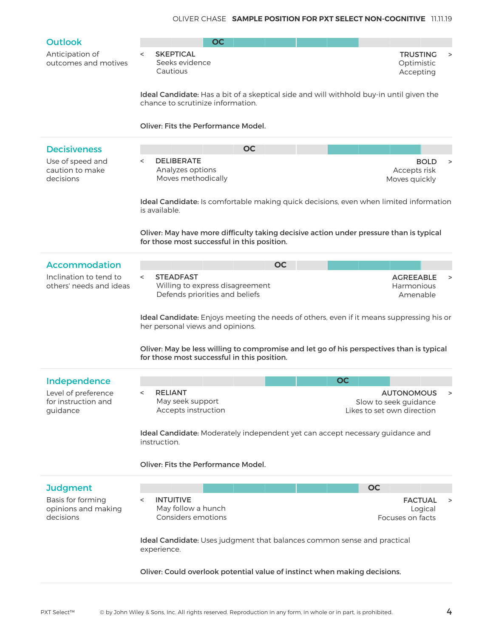| <b>Outlook</b>                                         | <b>OC</b>                                                                                        |                                                                                                                                                                                      |
|--------------------------------------------------------|--------------------------------------------------------------------------------------------------|--------------------------------------------------------------------------------------------------------------------------------------------------------------------------------------|
| Anticipation of<br>outcomes and motives                | <b>SKEPTICAL</b><br>$\,<\,$<br>Seeks evidence<br>Cautious                                        | <b>TRUSTING</b><br>$\geq$<br>Optimistic<br>Accepting                                                                                                                                 |
|                                                        | chance to scrutinize information.                                                                | Ideal Candidate: Has a bit of a skeptical side and will withhold buy-in until given the                                                                                              |
|                                                        | <b>Oliver: Fits the Performance Model.</b>                                                       |                                                                                                                                                                                      |
| <b>Decisiveness</b>                                    | <b>OC</b>                                                                                        |                                                                                                                                                                                      |
| Use of speed and<br>caution to make<br>decisions       | <b>DELIBERATE</b><br>$\,<\,$<br>Analyzes options<br>Moves methodically                           | <b>BOLD</b><br>><br>Accepts risk<br>Moves quickly                                                                                                                                    |
|                                                        | is available.                                                                                    | Ideal Candidate: Is comfortable making quick decisions, even when limited information                                                                                                |
|                                                        | for those most successful in this position.                                                      | Oliver: May have more difficulty taking decisive action under pressure than is typical                                                                                               |
| <b>Accommodation</b>                                   |                                                                                                  | <b>OC</b>                                                                                                                                                                            |
| Inclination to tend to<br>others' needs and ideas      | <b>STEADFAST</b><br>$\,<\,$<br>Willing to express disagreement<br>Defends priorities and beliefs | <b>AGREEABLE</b><br>><br>Harmonious<br>Amenable                                                                                                                                      |
|                                                        |                                                                                                  |                                                                                                                                                                                      |
|                                                        | her personal views and opinions.                                                                 |                                                                                                                                                                                      |
|                                                        | for those most successful in this position.                                                      | Ideal Candidate: Enjoys meeting the needs of others, even if it means suppressing his or<br>Oliver: May be less willing to compromise and let go of his perspectives than is typical |
| Independence                                           |                                                                                                  | <b>OC</b>                                                                                                                                                                            |
| Level of preference<br>for instruction and<br>guidance | <b>RELIANT</b><br>$\,<$<br>May seek support<br>Accepts instruction                               | <b>AUTONOMOUS</b><br>Slow to seek guidance<br>Likes to set own direction                                                                                                             |
|                                                        | instruction.                                                                                     | Ideal Candidate: Moderately independent yet can accept necessary guidance and                                                                                                        |
|                                                        | Oliver: Fits the Performance Model.                                                              |                                                                                                                                                                                      |
| <b>Judgment</b>                                        |                                                                                                  | <b>OC</b>                                                                                                                                                                            |
| Basis for forming<br>opinions and making<br>decisions  | <b>INTUITIVE</b><br>$\,<\,$<br>May follow a hunch<br>Considers emotions                          | <b>FACTUAL</b><br>$\, > \,$<br>Logical<br>Focuses on facts                                                                                                                           |
|                                                        | Ideal Candidate: Uses judgment that balances common sense and practical<br>experience.           |                                                                                                                                                                                      |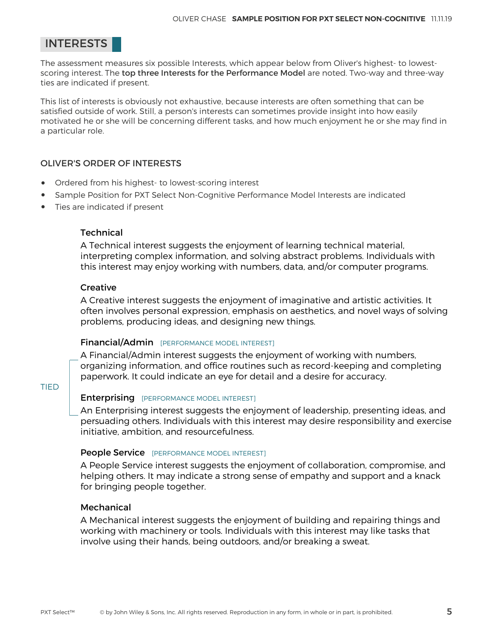## INTERESTS

The assessment measures six possible Interests, which appear below from Oliver's highest- to lowestscoring interest. The top three Interests for the Performance Model are noted. Two-way and three-way ties are indicated if present.

This list of interests is obviously not exhaustive, because interests are often something that can be satisfied outside of work. Still, a person's interests can sometimes provide insight into how easily motivated he or she will be concerning different tasks, and how much enjoyment he or she may find in a particular role.

## OLIVER'S ORDER OF INTERESTS

- Ordered from his highest- to lowest-scoring interest
- Sample Position for PXT Select Non-Cognitive Performance Model Interests are indicated
- Ties are indicated if present

## **Technical**

A Technical interest suggests the enjoyment of learning technical material, interpreting complex information, and solving abstract problems. Individuals with this interest may enjoy working with numbers, data, and/or computer programs.

### **Creative**

A Creative interest suggests the enjoyment of imaginative and artistic activities. It often involves personal expression, emphasis on aesthetics, and novel ways of solving problems, producing ideas, and designing new things.

## Financial/Admin [PERFORMANCE MODEL INTEREST]

A Financial/Admin interest suggests the enjoyment of working with numbers, organizing information, and office routines such as record-keeping and completing paperwork. It could indicate an eye for detail and a desire for accuracy.

### TIED

### **Enterprising** [PERFORMANCE MODEL INTEREST]

An Enterprising interest suggests the enjoyment of leadership, presenting ideas, and persuading others. Individuals with this interest may desire responsibility and exercise initiative, ambition, and resourcefulness.

### People Service [PERFORMANCE MODEL INTEREST]

A People Service interest suggests the enjoyment of collaboration, compromise, and helping others. It may indicate a strong sense of empathy and support and a knack for bringing people together.

### Mechanical

A Mechanical interest suggests the enjoyment of building and repairing things and working with machinery or tools. Individuals with this interest may like tasks that involve using their hands, being outdoors, and/or breaking a sweat.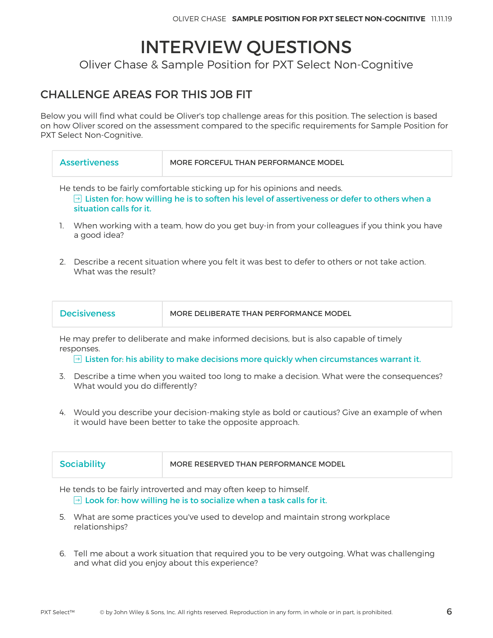# INTERVIEW QUESTIONS

Oliver Chase & Sample Position for PXT Select Non-Cognitive

## CHALLENGE AREAS FOR THIS JOB FIT

Below you will find what could be Oliver's top challenge areas for this position. The selection is based on how Oliver scored on the assessment compared to the specific requirements for Sample Position for PXT Select Non-Cognitive.

| <b>Assertiveness</b> | MORE FORCEFUL THAN PERFORMANCE MODEL |
|----------------------|--------------------------------------|
|                      |                                      |

He tends to be fairly comfortable sticking up for his opinions and needs.  $\overline{\Theta}$  Listen for: how willing he is to soften his level of assertiveness or defer to others when a situation calls for it.

- 1. When working with a team, how do you get buy-in from your colleagues if you think you have a good idea?
- 2. Describe a recent situation where you felt it was best to defer to others or not take action. What was the result?

| <b>Decisiveness</b> | MORE DELIBERATE THAN PERFORMANCE MODEL |
|---------------------|----------------------------------------|
|                     |                                        |

He may prefer to deliberate and make informed decisions, but is also capable of timely responses.

 $\Box$  Listen for: his ability to make decisions more quickly when circumstances warrant it.

- 3. Describe a time when you waited too long to make a decision. What were the consequences? What would you do differently?
- 4. Would you describe your decision-making style as bold or cautious? Give an example of when it would have been better to take the opposite approach.

| Sociability | MORE RESERVED THAN PERFORMANCE MODEL |
|-------------|--------------------------------------|
|             |                                      |

He tends to be fairly introverted and may often keep to himself.  $\overline{\Theta}$  Look for: how willing he is to socialize when a task calls for it.

- 5. What are some practices you've used to develop and maintain strong workplace relationships?
- 6. Tell me about a work situation that required you to be very outgoing. What was challenging and what did you enjoy about this experience?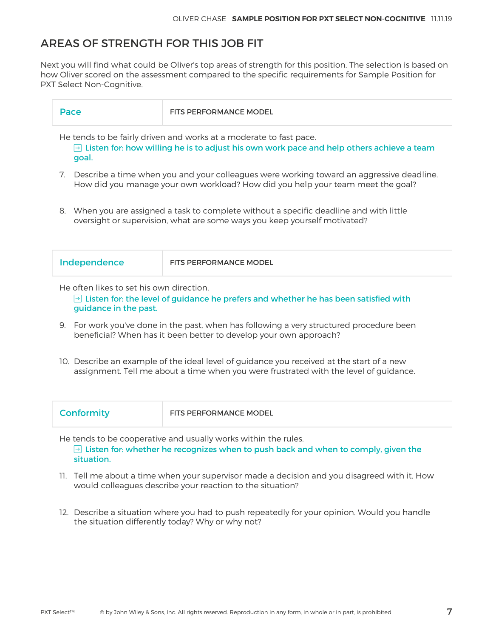## AREAS OF STRENGTH FOR THIS JOB FIT

Next you will find what could be Oliver's top areas of strength for this position. The selection is based on how Oliver scored on the assessment compared to the specific requirements for Sample Position for PXT Select Non-Cognitive.

| Pace | <b>FITS PERFORMANCE MODEL</b> |
|------|-------------------------------|
|      |                               |

He tends to be fairly driven and works at a moderate to fast pace.

 $\overline{\Theta}$  Listen for: how willing he is to adjust his own work pace and help others achieve a team goal.

- 7. Describe a time when you and your colleagues were working toward an aggressive deadline. How did you manage your own workload? How did you help your team meet the goal?
- 8. When you are assigned a task to complete without a specific deadline and with little oversight or supervision, what are some ways you keep yourself motivated?

| Independence | <b>FITS PERFORMANCE MODEL</b> |
|--------------|-------------------------------|
|              |                               |

He often likes to set his own direction.

 $\overline{\Theta}$  Listen for: the level of guidance he prefers and whether he has been satisfied with guidance in the past.

- 9. For work you've done in the past, when has following a very structured procedure been beneficial? When has it been better to develop your own approach?
- 10. Describe an example of the ideal level of guidance you received at the start of a new assignment. Tell me about a time when you were frustrated with the level of guidance.

| Conformity | <b>FITS PERFORMANCE MODEL</b> |
|------------|-------------------------------|
|            |                               |

He tends to be cooperative and usually works within the rules.  $\Theta$  Listen for: whether he recognizes when to push back and when to comply, given the situation.

- 11. Tell me about a time when your supervisor made a decision and you disagreed with it. How would colleagues describe your reaction to the situation?
- 12. Describe a situation where you had to push repeatedly for your opinion. Would you handle the situation differently today? Why or why not?